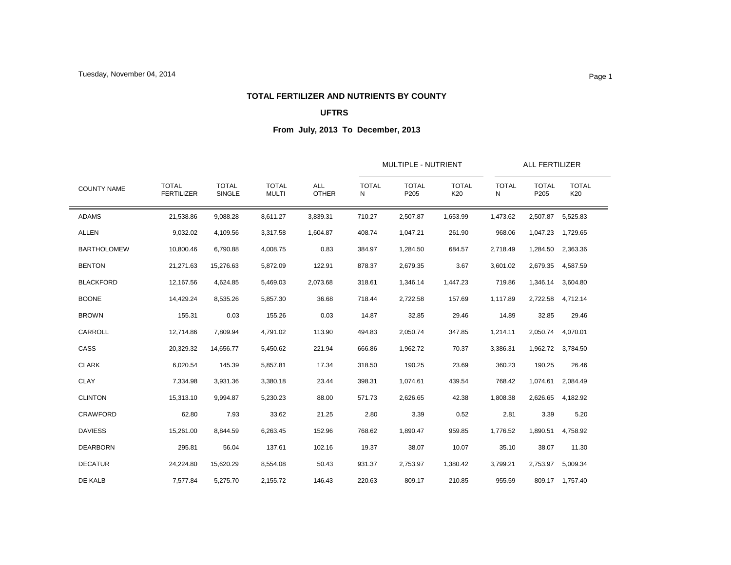### **TOTAL FERTILIZER AND NUTRIENTS BY COUNTY**

## **UFTRS**

| <b>COUNTY NAME</b><br><b>ADAMS</b><br><b>ALLEN</b><br><b>BARTHOLOMEW</b><br><b>BENTON</b> |                                   |                               |                              |                            |                   | MULTIPLE - NUTRIENT  |                     | <b>ALL FERTILIZER</b> |                      |                     |  |
|-------------------------------------------------------------------------------------------|-----------------------------------|-------------------------------|------------------------------|----------------------------|-------------------|----------------------|---------------------|-----------------------|----------------------|---------------------|--|
|                                                                                           | <b>TOTAL</b><br><b>FERTILIZER</b> | <b>TOTAL</b><br><b>SINGLE</b> | <b>TOTAL</b><br><b>MULTI</b> | <b>ALL</b><br><b>OTHER</b> | <b>TOTAL</b><br>N | <b>TOTAL</b><br>P205 | <b>TOTAL</b><br>K20 | <b>TOTAL</b><br>Ν     | <b>TOTAL</b><br>P205 | <b>TOTAL</b><br>K20 |  |
|                                                                                           | 21,538.86                         | 9,088.28                      | 8,611.27                     | 3,839.31                   | 710.27            | 2,507.87             | 1,653.99            | 1,473.62              | 2,507.87             | 5,525.83            |  |
|                                                                                           | 9,032.02                          | 4,109.56                      | 3,317.58                     | 1,604.87                   | 408.74            | 1,047.21             | 261.90              | 968.06                | 1,047.23             | 1,729.65            |  |
|                                                                                           | 10,800.46                         | 6,790.88                      | 4,008.75                     | 0.83                       | 384.97            | 1,284.50             | 684.57              | 2,718.49              | 1,284.50             | 2,363.36            |  |
|                                                                                           | 21,271.63                         | 15,276.63                     | 5,872.09                     | 122.91                     | 878.37            | 2,679.35             | 3.67                | 3,601.02              | 2,679.35             | 4,587.59            |  |
| <b>BLACKFORD</b>                                                                          | 12,167.56                         | 4,624.85                      | 5,469.03                     | 2,073.68                   | 318.61            | 1,346.14             | 1,447.23            | 719.86                | 1,346.14             | 3,604.80            |  |
| <b>BOONE</b>                                                                              | 14,429.24                         | 8,535.26                      | 5,857.30                     | 36.68                      | 718.44            | 2,722.58             | 157.69              | 1,117.89              | 2,722.58             | 4,712.14            |  |
| <b>BROWN</b>                                                                              | 155.31                            | 0.03                          | 155.26                       | 0.03                       | 14.87             | 32.85                | 29.46               | 14.89                 | 32.85                | 29.46               |  |
| CARROLL                                                                                   | 12,714.86                         | 7,809.94                      | 4,791.02                     | 113.90                     | 494.83            | 2,050.74             | 347.85              | 1,214.11              | 2,050.74             | 4,070.01            |  |
| CASS                                                                                      | 20,329.32                         | 14,656.77                     | 5,450.62                     | 221.94                     | 666.86            | 1,962.72             | 70.37               | 3,386.31              | 1,962.72             | 3,784.50            |  |
| <b>CLARK</b>                                                                              | 6,020.54                          | 145.39                        | 5,857.81                     | 17.34                      | 318.50            | 190.25               | 23.69               | 360.23                | 190.25               | 26.46               |  |
| <b>CLAY</b>                                                                               | 7,334.98                          | 3,931.36                      | 3,380.18                     | 23.44                      | 398.31            | 1,074.61             | 439.54              | 768.42                | 1,074.61             | 2,084.49            |  |
| <b>CLINTON</b>                                                                            | 15,313.10                         | 9.994.87                      | 5.230.23                     | 88.00                      | 571.73            | 2,626.65             | 42.38               | 1,808.38              | 2,626.65             | 4,182.92            |  |
| <b>CRAWFORD</b>                                                                           | 62.80                             | 7.93                          | 33.62                        | 21.25                      | 2.80              | 3.39                 | 0.52                | 2.81                  | 3.39                 | 5.20                |  |
| <b>DAVIESS</b>                                                                            | 15,261.00                         | 8,844.59                      | 6,263.45                     | 152.96                     | 768.62            | 1,890.47             | 959.85              | 1,776.52              | 1,890.51             | 4,758.92            |  |
| <b>DEARBORN</b>                                                                           | 295.81                            | 56.04                         | 137.61                       | 102.16                     | 19.37             | 38.07                | 10.07               | 35.10                 | 38.07                | 11.30               |  |
| <b>DECATUR</b>                                                                            | 24,224.80                         | 15,620.29                     | 8,554.08                     | 50.43                      | 931.37            | 2,753.97             | 1,380.42            | 3,799.21              | 2,753.97             | 5,009.34            |  |
| DE KALB                                                                                   | 7,577.84                          | 5,275.70                      | 2,155.72                     | 146.43                     | 220.63            | 809.17               | 210.85              | 955.59                |                      | 809.17 1,757.40     |  |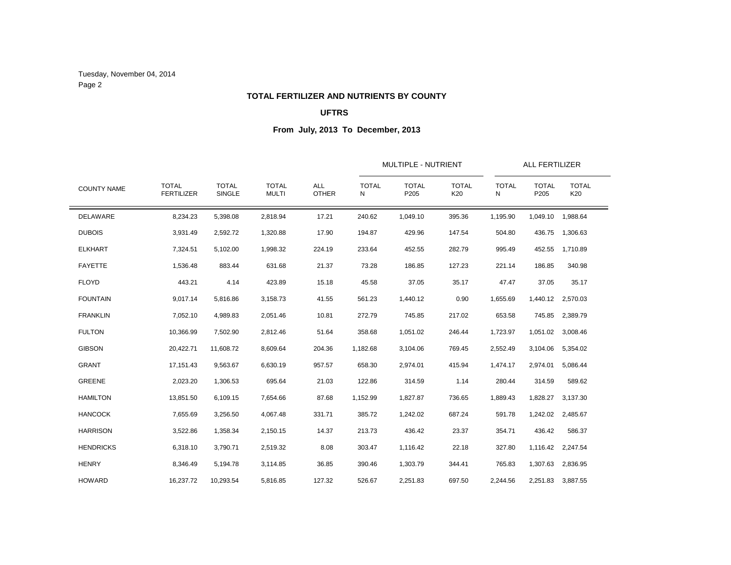Tuesday, November 04, 2014 Page 2

### **TOTAL FERTILIZER AND NUTRIENTS BY COUNTY**

## **UFTRS**

|                    |                                   |                               |                              |                            |                   | <b>MULTIPLE - NUTRIENT</b> |                     | <b>ALL FERTILIZER</b> |                      |                     |
|--------------------|-----------------------------------|-------------------------------|------------------------------|----------------------------|-------------------|----------------------------|---------------------|-----------------------|----------------------|---------------------|
| <b>COUNTY NAME</b> | <b>TOTAL</b><br><b>FERTILIZER</b> | <b>TOTAL</b><br><b>SINGLE</b> | <b>TOTAL</b><br><b>MULTI</b> | <b>ALL</b><br><b>OTHER</b> | <b>TOTAL</b><br>N | <b>TOTAL</b><br>P205       | <b>TOTAL</b><br>K20 | <b>TOTAL</b><br>Ν     | <b>TOTAL</b><br>P205 | <b>TOTAL</b><br>K20 |
| <b>DELAWARE</b>    | 8,234.23                          | 5,398.08                      | 2,818.94                     | 17.21                      | 240.62            | 1,049.10                   | 395.36              | 1,195.90              | 1,049.10             | 1,988.64            |
| <b>DUBOIS</b>      | 3,931.49                          | 2,592.72                      | 1,320.88                     | 17.90                      | 194.87            | 429.96                     | 147.54              | 504.80                | 436.75               | 1,306.63            |
| <b>ELKHART</b>     | 7,324.51                          | 5,102.00                      | 1,998.32                     | 224.19                     | 233.64            | 452.55                     | 282.79              | 995.49                | 452.55               | 1,710.89            |
| <b>FAYETTE</b>     | 1,536.48                          | 883.44                        | 631.68                       | 21.37                      | 73.28             | 186.85                     | 127.23              | 221.14                | 186.85               | 340.98              |
| <b>FLOYD</b>       | 443.21                            | 4.14                          | 423.89                       | 15.18                      | 45.58             | 37.05                      | 35.17               | 47.47                 | 37.05                | 35.17               |
| <b>FOUNTAIN</b>    | 9,017.14                          | 5,816.86                      | 3,158.73                     | 41.55                      | 561.23            | 1,440.12                   | 0.90                | 1,655.69              |                      | 1,440.12 2,570.03   |
| <b>FRANKLIN</b>    | 7,052.10                          | 4,989.83                      | 2,051.46                     | 10.81                      | 272.79            | 745.85                     | 217.02              | 653.58                | 745.85               | 2,389.79            |
| <b>FULTON</b>      | 10,366.99                         | 7,502.90                      | 2,812.46                     | 51.64                      | 358.68            | 1,051.02                   | 246.44              | 1,723.97              | 1,051.02             | 3,008.46            |
| <b>GIBSON</b>      | 20,422.71                         | 11,608.72                     | 8,609.64                     | 204.36                     | 1,182.68          | 3,104.06                   | 769.45              | 2,552.49              | 3,104.06             | 5,354.02            |
| <b>GRANT</b>       | 17,151.43                         | 9.563.67                      | 6,630.19                     | 957.57                     | 658.30            | 2,974.01                   | 415.94              | 1,474.17              | 2,974.01             | 5,086.44            |
| <b>GREENE</b>      | 2,023.20                          | 1,306.53                      | 695.64                       | 21.03                      | 122.86            | 314.59                     | 1.14                | 280.44                | 314.59               | 589.62              |
| <b>HAMILTON</b>    | 13,851.50                         | 6,109.15                      | 7,654.66                     | 87.68                      | 1,152.99          | 1,827.87                   | 736.65              | 1,889.43              | 1,828.27             | 3,137.30            |
| <b>HANCOCK</b>     | 7,655.69                          | 3,256.50                      | 4,067.48                     | 331.71                     | 385.72            | 1,242.02                   | 687.24              | 591.78                | 1,242.02             | 2,485.67            |
| <b>HARRISON</b>    | 3,522.86                          | 1,358.34                      | 2,150.15                     | 14.37                      | 213.73            | 436.42                     | 23.37               | 354.71                | 436.42               | 586.37              |
| <b>HENDRICKS</b>   | 6,318.10                          | 3,790.71                      | 2,519.32                     | 8.08                       | 303.47            | 1,116.42                   | 22.18               | 327.80                | 1,116.42             | 2,247.54            |
| <b>HENRY</b>       | 8,346.49                          | 5,194.78                      | 3,114.85                     | 36.85                      | 390.46            | 1,303.79                   | 344.41              | 765.83                | 1,307.63             | 2,836.95            |
| <b>HOWARD</b>      | 16,237.72                         | 10,293.54                     | 5,816.85                     | 127.32                     | 526.67            | 2,251.83                   | 697.50              | 2,244.56              | 2,251.83             | 3,887.55            |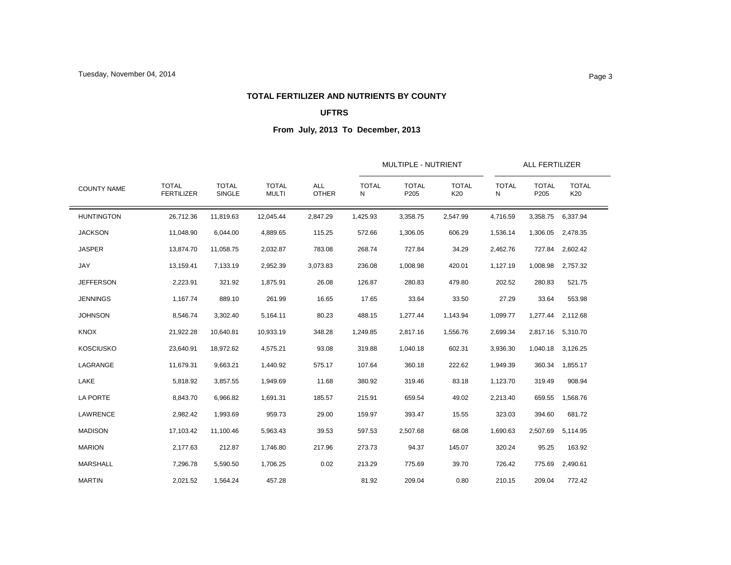### **TOTAL FERTILIZER AND NUTRIENTS BY COUNTY**

## **UFTRS**

|                    |                                   |                               |                              | ALL<br><b>OTHER</b> |                   |                      | MULTIPLE - NUTRIENT |                   | <b>ALL FERTILIZER</b> |                     |  |
|--------------------|-----------------------------------|-------------------------------|------------------------------|---------------------|-------------------|----------------------|---------------------|-------------------|-----------------------|---------------------|--|
| <b>COUNTY NAME</b> | <b>TOTAL</b><br><b>FERTILIZER</b> | <b>TOTAL</b><br><b>SINGLE</b> | <b>TOTAL</b><br><b>MULTI</b> |                     | <b>TOTAL</b><br>N | <b>TOTAL</b><br>P205 | <b>TOTAL</b><br>K20 | <b>TOTAL</b><br>N | <b>TOTAL</b><br>P205  | <b>TOTAL</b><br>K20 |  |
| <b>HUNTINGTON</b>  | 26,712.36                         | 11,819.63                     | 12,045.44                    | 2,847.29            | 1,425.93          | 3,358.75             | 2,547.99            | 4,716.59          | 3,358.75              | 6,337.94            |  |
| <b>JACKSON</b>     | 11,048.90                         | 6,044.00                      | 4,889.65                     | 115.25              | 572.66            | 1,306.05             | 606.29              | 1,536.14          | 1,306.05              | 2,478.35            |  |
| <b>JASPER</b>      | 13,874.70                         | 11,058.75                     | 2,032.87                     | 783.08              | 268.74            | 727.84               | 34.29               | 2,462.76          | 727.84                | 2,602.42            |  |
| JAY                | 13,159.41                         | 7,133.19                      | 2,952.39                     | 3,073.83            | 236.08            | 1,008.98             | 420.01              | 1,127.19          | 1,008.98              | 2,757.32            |  |
| <b>JEFFERSON</b>   | 2,223.91                          | 321.92                        | 1,875.91                     | 26.08               | 126.87            | 280.83               | 479.80              | 202.52            | 280.83                | 521.75              |  |
| <b>JENNINGS</b>    | 1,167.74                          | 889.10                        | 261.99                       | 16.65               | 17.65             | 33.64                | 33.50               | 27.29             | 33.64                 | 553.98              |  |
| <b>JOHNSON</b>     | 8,546.74                          | 3,302.40                      | 5,164.11                     | 80.23               | 488.15            | 1,277.44             | 1,143.94            | 1,099.77          | 1,277.44              | 2,112.68            |  |
| <b>KNOX</b>        | 21,922.28                         | 10,640.81                     | 10,933.19                    | 348.28              | 1,249.85          | 2,817.16             | 1,556.76            | 2,699.34          |                       | 2,817.16 5,310.70   |  |
| <b>KOSCIUSKO</b>   | 23,640.91                         | 18,972.62                     | 4,575.21                     | 93.08               | 319.88            | 1,040.18             | 602.31              | 3,936.30          | 1,040.18              | 3,126.25            |  |
| LAGRANGE           | 11,679.31                         | 9,663.21                      | 1,440.92                     | 575.17              | 107.64            | 360.18               | 222.62              | 1,949.39          | 360.34                | 1,855.17            |  |
| LAKE               | 5,818.92                          | 3,857.55                      | 1,949.69                     | 11.68               | 380.92            | 319.46               | 83.18               | 1,123.70          | 319.49                | 908.94              |  |
| <b>LA PORTE</b>    | 8,843.70                          | 6,966.82                      | 1,691.31                     | 185.57              | 215.91            | 659.54               | 49.02               | 2,213.40          | 659.55                | 1,568.76            |  |
| LAWRENCE           | 2,982.42                          | 1,993.69                      | 959.73                       | 29.00               | 159.97            | 393.47               | 15.55               | 323.03            | 394.60                | 681.72              |  |
| <b>MADISON</b>     | 17,103.42                         | 11,100.46                     | 5,963.43                     | 39.53               | 597.53            | 2,507.68             | 68.08               | 1,690.63          | 2,507.69              | 5,114.95            |  |
| <b>MARION</b>      | 2,177.63                          | 212.87                        | 1,746.80                     | 217.96              | 273.73            | 94.37                | 145.07              | 320.24            | 95.25                 | 163.92              |  |
| MARSHALL           | 7,296.78                          | 5,590.50                      | 1,706.25                     | 0.02                | 213.29            | 775.69               | 39.70               | 726.42            | 775.69                | 2,490.61            |  |
| <b>MARTIN</b>      | 2,021.52                          | 1,564.24                      | 457.28                       |                     | 81.92             | 209.04               | 0.80                | 210.15            | 209.04                | 772.42              |  |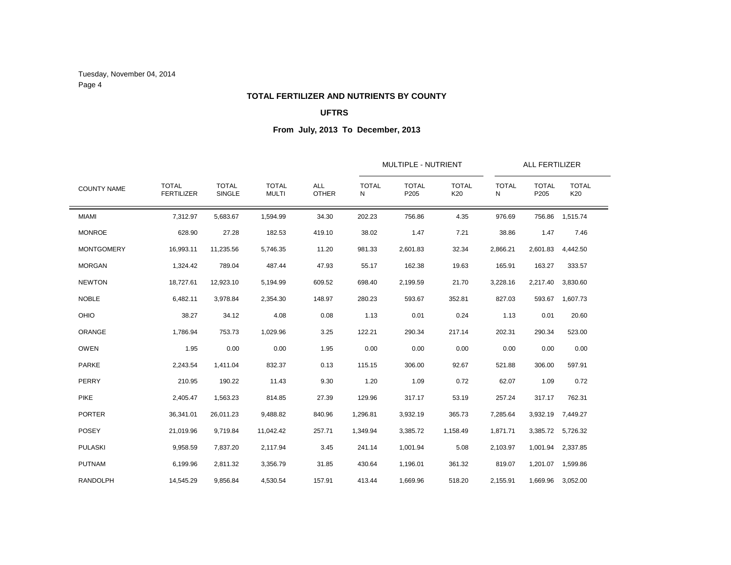Tuesday, November 04, 2014 Page 4

### **TOTAL FERTILIZER AND NUTRIENTS BY COUNTY**

## **UFTRS**

|                    |                                   |                               |                              |                            |                   | <b>MULTIPLE - NUTRIENT</b> |                     |                   | <b>ALL FERTILIZER</b> |                     |
|--------------------|-----------------------------------|-------------------------------|------------------------------|----------------------------|-------------------|----------------------------|---------------------|-------------------|-----------------------|---------------------|
| <b>COUNTY NAME</b> | <b>TOTAL</b><br><b>FERTILIZER</b> | <b>TOTAL</b><br><b>SINGLE</b> | <b>TOTAL</b><br><b>MULTI</b> | <b>ALL</b><br><b>OTHER</b> | <b>TOTAL</b><br>N | <b>TOTAL</b><br>P205       | <b>TOTAL</b><br>K20 | <b>TOTAL</b><br>Ν | <b>TOTAL</b><br>P205  | <b>TOTAL</b><br>K20 |
| <b>MIAMI</b>       | 7,312.97                          | 5,683.67                      | 1,594.99                     | 34.30                      | 202.23            | 756.86                     | 4.35                | 976.69            | 756.86                | 1,515.74            |
| <b>MONROE</b>      | 628.90                            | 27.28                         | 182.53                       | 419.10                     | 38.02             | 1.47                       | 7.21                | 38.86             | 1.47                  | 7.46                |
| <b>MONTGOMERY</b>  | 16,993.11                         | 11,235.56                     | 5,746.35                     | 11.20                      | 981.33            | 2,601.83                   | 32.34               | 2,866.21          | 2,601.83              | 4,442.50            |
| <b>MORGAN</b>      | 1,324.42                          | 789.04                        | 487.44                       | 47.93                      | 55.17             | 162.38                     | 19.63               | 165.91            | 163.27                | 333.57              |
| <b>NEWTON</b>      | 18,727.61                         | 12,923.10                     | 5,194.99                     | 609.52                     | 698.40            | 2,199.59                   | 21.70               | 3,228.16          | 2,217.40              | 3,830.60            |
| <b>NOBLE</b>       | 6,482.11                          | 3,978.84                      | 2,354.30                     | 148.97                     | 280.23            | 593.67                     | 352.81              | 827.03            | 593.67                | 1,607.73            |
| OHIO               | 38.27                             | 34.12                         | 4.08                         | 0.08                       | 1.13              | 0.01                       | 0.24                | 1.13              | 0.01                  | 20.60               |
| ORANGE             | 1,786.94                          | 753.73                        | 1,029.96                     | 3.25                       | 122.21            | 290.34                     | 217.14              | 202.31            | 290.34                | 523.00              |
| <b>OWEN</b>        | 1.95                              | 0.00                          | 0.00                         | 1.95                       | 0.00              | 0.00                       | 0.00                | 0.00              | 0.00                  | 0.00                |
| <b>PARKE</b>       | 2,243.54                          | 1,411.04                      | 832.37                       | 0.13                       | 115.15            | 306.00                     | 92.67               | 521.88            | 306.00                | 597.91              |
| PERRY              | 210.95                            | 190.22                        | 11.43                        | 9.30                       | 1.20              | 1.09                       | 0.72                | 62.07             | 1.09                  | 0.72                |
| <b>PIKE</b>        | 2,405.47                          | 1,563.23                      | 814.85                       | 27.39                      | 129.96            | 317.17                     | 53.19               | 257.24            | 317.17                | 762.31              |
| <b>PORTER</b>      | 36,341.01                         | 26,011.23                     | 9,488.82                     | 840.96                     | 1,296.81          | 3,932.19                   | 365.73              | 7,285.64          | 3,932.19              | 7,449.27            |
| <b>POSEY</b>       | 21,019.96                         | 9,719.84                      | 11,042.42                    | 257.71                     | 1,349.94          | 3,385.72                   | 1,158.49            | 1,871.71          | 3,385.72              | 5,726.32            |
| <b>PULASKI</b>     | 9,958.59                          | 7,837.20                      | 2,117.94                     | 3.45                       | 241.14            | 1,001.94                   | 5.08                | 2,103.97          | 1,001.94              | 2,337.85            |
| <b>PUTNAM</b>      | 6,199.96                          | 2,811.32                      | 3,356.79                     | 31.85                      | 430.64            | 1,196.01                   | 361.32              | 819.07            | 1,201.07              | 1,599.86            |
| <b>RANDOLPH</b>    | 14,545.29                         | 9,856.84                      | 4,530.54                     | 157.91                     | 413.44            | 1,669.96                   | 518.20              | 2,155.91          | 1,669.96              | 3,052.00            |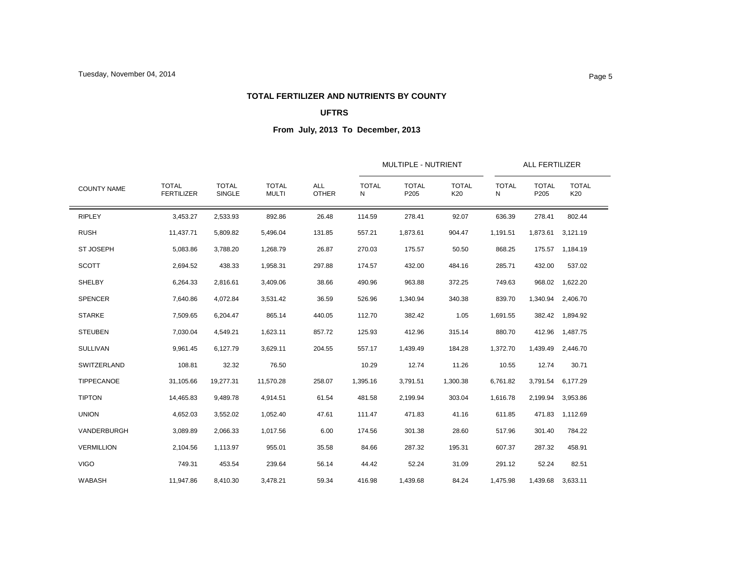### **TOTAL FERTILIZER AND NUTRIENTS BY COUNTY**

## **UFTRS**

|                    |                                   |                               |                              | <b>ALL</b><br><b>OTHER</b> |                   | MULTIPLE - NUTRIENT  |                     | <b>ALL FERTILIZER</b> |                      |                     |  |
|--------------------|-----------------------------------|-------------------------------|------------------------------|----------------------------|-------------------|----------------------|---------------------|-----------------------|----------------------|---------------------|--|
| <b>COUNTY NAME</b> | <b>TOTAL</b><br><b>FERTILIZER</b> | <b>TOTAL</b><br><b>SINGLE</b> | <b>TOTAL</b><br><b>MULTI</b> |                            | <b>TOTAL</b><br>N | <b>TOTAL</b><br>P205 | <b>TOTAL</b><br>K20 | <b>TOTAL</b><br>N     | <b>TOTAL</b><br>P205 | <b>TOTAL</b><br>K20 |  |
| <b>RIPLEY</b>      | 3,453.27                          | 2,533.93                      | 892.86                       | 26.48                      | 114.59            | 278.41               | 92.07               | 636.39                | 278.41               | 802.44              |  |
| <b>RUSH</b>        | 11,437.71                         | 5,809.82                      | 5,496.04                     | 131.85                     | 557.21            | 1,873.61             | 904.47              | 1,191.51              | 1,873.61             | 3,121.19            |  |
| <b>ST JOSEPH</b>   | 5,083.86                          | 3,788.20                      | 1,268.79                     | 26.87                      | 270.03            | 175.57               | 50.50               | 868.25                | 175.57               | 1,184.19            |  |
| <b>SCOTT</b>       | 2,694.52                          | 438.33                        | 1,958.31                     | 297.88                     | 174.57            | 432.00               | 484.16              | 285.71                | 432.00               | 537.02              |  |
| SHELBY             | 6,264.33                          | 2,816.61                      | 3,409.06                     | 38.66                      | 490.96            | 963.88               | 372.25              | 749.63                | 968.02               | 1,622.20            |  |
| <b>SPENCER</b>     | 7,640.86                          | 4,072.84                      | 3,531.42                     | 36.59                      | 526.96            | 1,340.94             | 340.38              | 839.70                | 1,340.94             | 2,406.70            |  |
| <b>STARKE</b>      | 7,509.65                          | 6,204.47                      | 865.14                       | 440.05                     | 112.70            | 382.42               | 1.05                | 1,691.55              | 382.42               | 1,894.92            |  |
| <b>STEUBEN</b>     | 7,030.04                          | 4,549.21                      | 1,623.11                     | 857.72                     | 125.93            | 412.96               | 315.14              | 880.70                | 412.96               | 1,487.75            |  |
| <b>SULLIVAN</b>    | 9,961.45                          | 6,127.79                      | 3,629.11                     | 204.55                     | 557.17            | 1,439.49             | 184.28              | 1,372.70              | 1,439.49             | 2,446.70            |  |
| SWITZERLAND        | 108.81                            | 32.32                         | 76.50                        |                            | 10.29             | 12.74                | 11.26               | 10.55                 | 12.74                | 30.71               |  |
| TIPPECANOE         | 31,105.66                         | 19,277.31                     | 11,570.28                    | 258.07                     | 1,395.16          | 3,791.51             | 1,300.38            | 6,761.82              | 3,791.54             | 6,177.29            |  |
| <b>TIPTON</b>      | 14,465.83                         | 9,489.78                      | 4,914.51                     | 61.54                      | 481.58            | 2,199.94             | 303.04              | 1,616.78              | 2,199.94             | 3,953.86            |  |
| <b>UNION</b>       | 4,652.03                          | 3,552.02                      | 1,052.40                     | 47.61                      | 111.47            | 471.83               | 41.16               | 611.85                | 471.83               | 1,112.69            |  |
| VANDERBURGH        | 3,089.89                          | 2,066.33                      | 1,017.56                     | 6.00                       | 174.56            | 301.38               | 28.60               | 517.96                | 301.40               | 784.22              |  |
| <b>VERMILLION</b>  | 2,104.56                          | 1,113.97                      | 955.01                       | 35.58                      | 84.66             | 287.32               | 195.31              | 607.37                | 287.32               | 458.91              |  |
| <b>VIGO</b>        | 749.31                            | 453.54                        | 239.64                       | 56.14                      | 44.42             | 52.24                | 31.09               | 291.12                | 52.24                | 82.51               |  |
| <b>WABASH</b>      | 11,947.86                         | 8,410.30                      | 3,478.21                     | 59.34                      | 416.98            | 1,439.68             | 84.24               | 1,475.98              | 1,439.68             | 3,633.11            |  |